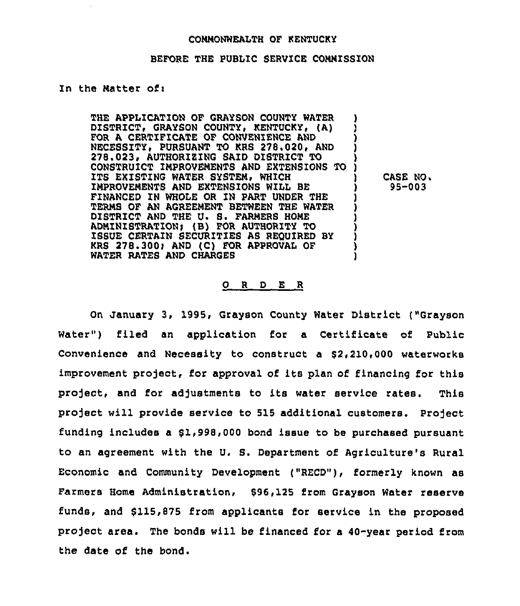### COMMONWEALTH OF KENTUCKY

### BEFORE THE PUBLIC SERVICE COMMISSION

## In the Matter of:

THE APPLICATION OF GRAYSON COUNTY WATER DISTRICT, GRAYSON COUNTY, KENTUCKY, (A) FOR A CERTIFICATE OF CONVENIENCE AND NECESSITY. PURSUANT TO KRS 278.020, AND 278 023» AUTHORIEINQ SAID DISTRICT TO ) CONSTRUICT IMPROVEMENTS AND EXTENSIONS TO ) ITS EXISTING WATER SYSTEM, WHICH IMPROVEMENTS AND EXTENSIONS WILL BE FINANCED IN WHOLE OR IN PART UNDER THE TERMS OF AN AGREEMENT BETWEEN THE WATER DISTRICT AND THE U. S. FARMERS HOME ADMINISTRATION) (B) FOR AUTHORITY TO ) ISSUE CERTAIN SECURITIES AS REQUIRED BY ) KRS 278.300; AND (C) FOR APPROVAL OF WATER RATES AND CHARGES

CASE NO. 95-003

#### 0 <sup>R</sup> <sup>D</sup> E <sup>R</sup>

On January 3, 1995, Grayson County Water District ("Grayson Water") filed an application for a Certificate of Public Convenience and Necessity to construct a 82,210,000 waterworks improvement project, for approval of its plan of financing for this project, and for adjustments to its water service rates. This project will provide service to 515 additional customers. project funding includes a 81,998,000 bond issue to be purchased pursuant to an agreement with the U, S. Department of Agriculture's Rural Economic and Community Development ("RECD"), formerly known as Farmers Home Administration, \$96,125 from Grayson Water reserve funds, and \$115,875 from applicants for service in the proposed project area . The bonds will be financed for <sup>a</sup> 40-year period from the date of the bond.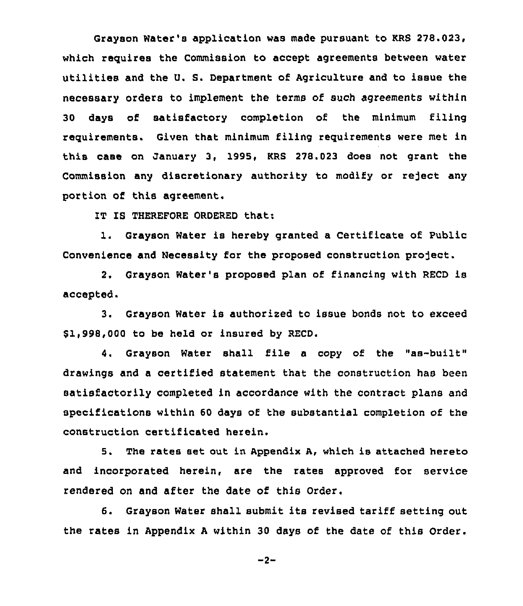Grayson Water's application was made pursuant to KRS 278.023, which requires the Commission to accept agreements between water utilities and the U. S. Department of Agriculture and to issue the necessary orders to implement the terms of such agreements within 30 days of satisfactory completion of the minimum filing requirements. Given that minimum filing requirements were met in this case on January 3, 1995, KRS 270.023 does not grant the Commission any discretionary authority to modify or reject any portion of this agreement.

IT IS THEREFORE ORDERED that:

1. Grayson Water is hereby granted a Certificate of Public Convenience and Necessity for the proposed construction project.

2, Grayson Water's proposed plan of financing with RECD is accepted.

3. Grayson Water is authorized to issue bonds not to exceed \$1,998,000 to be held or insured by RECD.

4. Grayson Water shall file <sup>a</sup> copy of the "as-built" drawings and a certified statement that the construction has been satisfactorily completed in accordance with the contract plans and specifications within 60 days of the substantial completion of the construction certificated herein.

5. The rates set out in Appendix A, which is attached hereto and incorporated herein, are the rates approved for service rendered on and after the date of this Order.

6. Grayson Water shall submit its revised tariff setting out the rates in Appendix <sup>A</sup> within 30 days of the date of this Order.

 $-2-$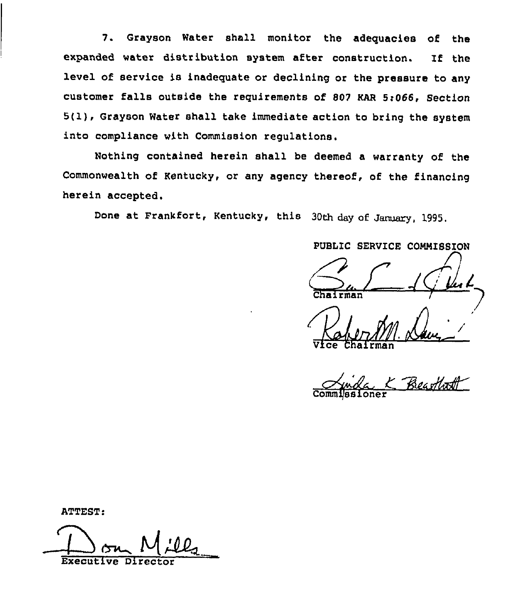7. Grayson Water shall monitor the adequacies of the expanded water distribution system after construction. If the level of service is inadequate or declining or the pressure to any customer falls outside the requirements of <sup>807</sup> KAR 5r066, Section 5(1), Grayson Water shall take immediate action to bring the system into compliance with Commission regulations.

Nothing contained herein shall be deemed a warranty of the Commonwealth of Kentucky, or any agency thereof, of the financing herein accepted.

Done at Frankfort, Kentucky, this 30th day of January, 1995.

PUBLIC SERVICE COMMISSION

Vice Chairma

Commissione  $\Delta$ juide

ATTEST

Executive Director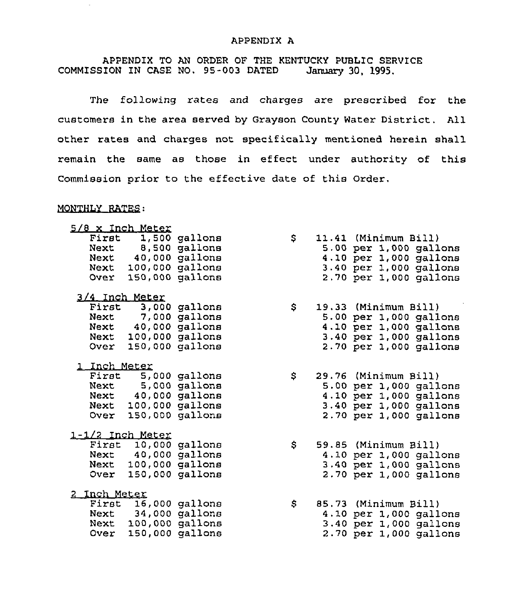## APPENDIX A

APPENDIX TO AN ORDER OF THE KENTUCKY PUBLIC SERVICE<br>ION IN CASE NO. 95-003 DATED January 30, 1995. COMMISSION IN CASE NO. 95-003 DATED

The following rates and charges are prescribed for the customers in the area served by Grayson County Water District. All other rates and charges not specifically mentioned herein shall remain the same as those in effect under authority of this Commission prior to the effective date of this Order.

## MONTHLY RATES:

÷

|  |                                                                                        |                                                                                                                                                                                                                                                                                                                                                                                                                                                                                                                                                        | \$ |  |                                                                                                                                                                                                                                                                                                                                                                                                                                                                                                                                                                                                                      |
|--|----------------------------------------------------------------------------------------|--------------------------------------------------------------------------------------------------------------------------------------------------------------------------------------------------------------------------------------------------------------------------------------------------------------------------------------------------------------------------------------------------------------------------------------------------------------------------------------------------------------------------------------------------------|----|--|----------------------------------------------------------------------------------------------------------------------------------------------------------------------------------------------------------------------------------------------------------------------------------------------------------------------------------------------------------------------------------------------------------------------------------------------------------------------------------------------------------------------------------------------------------------------------------------------------------------------|
|  |                                                                                        |                                                                                                                                                                                                                                                                                                                                                                                                                                                                                                                                                        |    |  |                                                                                                                                                                                                                                                                                                                                                                                                                                                                                                                                                                                                                      |
|  |                                                                                        |                                                                                                                                                                                                                                                                                                                                                                                                                                                                                                                                                        |    |  |                                                                                                                                                                                                                                                                                                                                                                                                                                                                                                                                                                                                                      |
|  |                                                                                        |                                                                                                                                                                                                                                                                                                                                                                                                                                                                                                                                                        |    |  |                                                                                                                                                                                                                                                                                                                                                                                                                                                                                                                                                                                                                      |
|  |                                                                                        |                                                                                                                                                                                                                                                                                                                                                                                                                                                                                                                                                        |    |  |                                                                                                                                                                                                                                                                                                                                                                                                                                                                                                                                                                                                                      |
|  |                                                                                        |                                                                                                                                                                                                                                                                                                                                                                                                                                                                                                                                                        |    |  |                                                                                                                                                                                                                                                                                                                                                                                                                                                                                                                                                                                                                      |
|  |                                                                                        |                                                                                                                                                                                                                                                                                                                                                                                                                                                                                                                                                        | \$ |  |                                                                                                                                                                                                                                                                                                                                                                                                                                                                                                                                                                                                                      |
|  |                                                                                        |                                                                                                                                                                                                                                                                                                                                                                                                                                                                                                                                                        |    |  |                                                                                                                                                                                                                                                                                                                                                                                                                                                                                                                                                                                                                      |
|  |                                                                                        |                                                                                                                                                                                                                                                                                                                                                                                                                                                                                                                                                        |    |  |                                                                                                                                                                                                                                                                                                                                                                                                                                                                                                                                                                                                                      |
|  |                                                                                        |                                                                                                                                                                                                                                                                                                                                                                                                                                                                                                                                                        |    |  |                                                                                                                                                                                                                                                                                                                                                                                                                                                                                                                                                                                                                      |
|  |                                                                                        |                                                                                                                                                                                                                                                                                                                                                                                                                                                                                                                                                        |    |  |                                                                                                                                                                                                                                                                                                                                                                                                                                                                                                                                                                                                                      |
|  |                                                                                        |                                                                                                                                                                                                                                                                                                                                                                                                                                                                                                                                                        |    |  |                                                                                                                                                                                                                                                                                                                                                                                                                                                                                                                                                                                                                      |
|  |                                                                                        |                                                                                                                                                                                                                                                                                                                                                                                                                                                                                                                                                        | \$ |  |                                                                                                                                                                                                                                                                                                                                                                                                                                                                                                                                                                                                                      |
|  |                                                                                        |                                                                                                                                                                                                                                                                                                                                                                                                                                                                                                                                                        |    |  |                                                                                                                                                                                                                                                                                                                                                                                                                                                                                                                                                                                                                      |
|  |                                                                                        |                                                                                                                                                                                                                                                                                                                                                                                                                                                                                                                                                        |    |  |                                                                                                                                                                                                                                                                                                                                                                                                                                                                                                                                                                                                                      |
|  |                                                                                        |                                                                                                                                                                                                                                                                                                                                                                                                                                                                                                                                                        |    |  |                                                                                                                                                                                                                                                                                                                                                                                                                                                                                                                                                                                                                      |
|  |                                                                                        |                                                                                                                                                                                                                                                                                                                                                                                                                                                                                                                                                        |    |  |                                                                                                                                                                                                                                                                                                                                                                                                                                                                                                                                                                                                                      |
|  |                                                                                        |                                                                                                                                                                                                                                                                                                                                                                                                                                                                                                                                                        |    |  |                                                                                                                                                                                                                                                                                                                                                                                                                                                                                                                                                                                                                      |
|  |                                                                                        |                                                                                                                                                                                                                                                                                                                                                                                                                                                                                                                                                        | \$ |  |                                                                                                                                                                                                                                                                                                                                                                                                                                                                                                                                                                                                                      |
|  |                                                                                        |                                                                                                                                                                                                                                                                                                                                                                                                                                                                                                                                                        |    |  |                                                                                                                                                                                                                                                                                                                                                                                                                                                                                                                                                                                                                      |
|  |                                                                                        |                                                                                                                                                                                                                                                                                                                                                                                                                                                                                                                                                        |    |  |                                                                                                                                                                                                                                                                                                                                                                                                                                                                                                                                                                                                                      |
|  |                                                                                        |                                                                                                                                                                                                                                                                                                                                                                                                                                                                                                                                                        |    |  |                                                                                                                                                                                                                                                                                                                                                                                                                                                                                                                                                                                                                      |
|  |                                                                                        |                                                                                                                                                                                                                                                                                                                                                                                                                                                                                                                                                        |    |  |                                                                                                                                                                                                                                                                                                                                                                                                                                                                                                                                                                                                                      |
|  |                                                                                        |                                                                                                                                                                                                                                                                                                                                                                                                                                                                                                                                                        | \$ |  |                                                                                                                                                                                                                                                                                                                                                                                                                                                                                                                                                                                                                      |
|  |                                                                                        |                                                                                                                                                                                                                                                                                                                                                                                                                                                                                                                                                        |    |  |                                                                                                                                                                                                                                                                                                                                                                                                                                                                                                                                                                                                                      |
|  |                                                                                        |                                                                                                                                                                                                                                                                                                                                                                                                                                                                                                                                                        |    |  |                                                                                                                                                                                                                                                                                                                                                                                                                                                                                                                                                                                                                      |
|  |                                                                                        |                                                                                                                                                                                                                                                                                                                                                                                                                                                                                                                                                        |    |  |                                                                                                                                                                                                                                                                                                                                                                                                                                                                                                                                                                                                                      |
|  | 5/8 x Inch Meter<br>3/4 Inch Meter<br>1 Inch Meter<br>1-1/2 Inch Meter<br>2 Inch Meter | First 1,500 gallons<br>Next 8,500 gallons<br>Next 40,000 gallons<br>Next 100,000 gallons<br>Over 150,000 gallons<br>First 3,000 gallons<br>Next 7,000 gallons<br>Next 40,000 gallons<br>Next 100,000 gallons<br>Over 150,000 gallons<br>First 5,000 gallons<br>Next 5,000 gallons<br>Next 40,000 gallons<br>Next 100,000 gallons<br>Over 150,000 gallons<br>First 10,000 gallons<br>Next 40,000 gallons<br>Next 100,000 gallons<br>Over 150,000 gallons<br>First 16,000 gallons<br>Next 34,000 gallons<br>Next 100,000 gallons<br>Over 150,000 gallons |    |  | 11.41 (Minimum Bill)<br>5.00 per 1,000 gallons<br>4.10 per 1,000 gallons<br>3.40 per 1,000 gallons<br>2.70 per 1,000 gallons<br>19.33 (Minimum Bill)<br>5.00 per 1,000 gallons<br>4.10 per 1,000 gallons<br>3.40 per 1,000 gallons<br>$2.70$ per 1,000 gallons<br>29.76 (Minimum Bill)<br>$5.00$ per 1,000 gallons<br>4.10 per 1,000 gallons<br>3.40 per 1,000 gallons<br>$2.70$ per 1,000 gallons<br>59.85 (Minimum Bill)<br>4.10 per 1,000 gallons<br>$3.40$ per $1,000$ gallons<br>2.70 per 1,000 gallons<br>85.73 (Minimum Bill)<br>4.10 per 1,000 gallons<br>$3.40$ per 1,000 gallons<br>2.70 per 1,000 gallons |